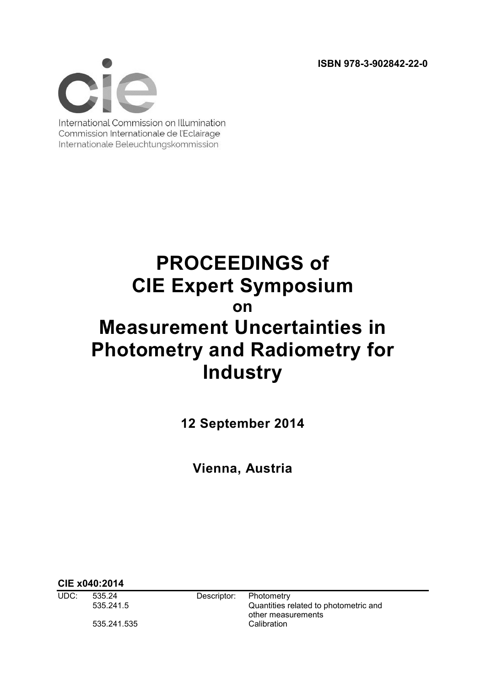**ISBN 978-3-902842-22-0**



International Commission on Illumination Commission Internationale de l'Eclairage Internationale Beleuchtungskommission

## **PROCEEDINGS of CIE Expert Symposium on Measurement Uncertainties in Photometry and Radiometry for Industry**

**12 September 2014**

**Vienna, Austria**

**CIE x040:2014**

UDC: 535.24 Descriptor: Photometry<br>535.241.5 Quantities re

Quantities related to photometric and other measurements 535.241.535 Calibration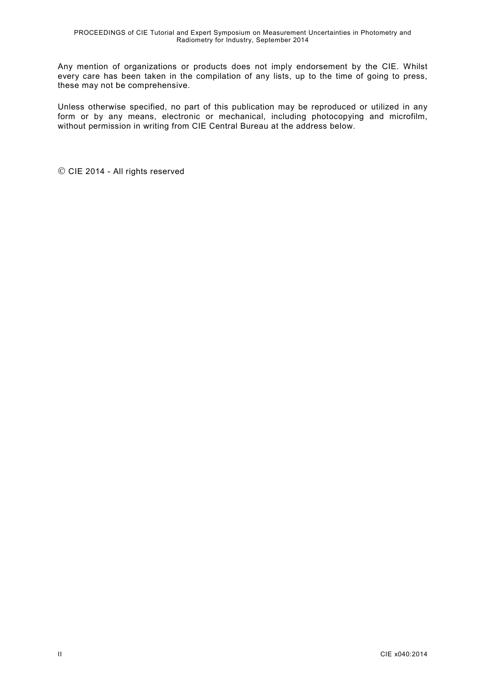Any mention of organizations or products does not imply endorsement by the CIE. Whilst every care has been taken in the compilation of any lists, up to the time of going to press, these may not be comprehensive.

Unless otherwise specified, no part of this publication may be reproduced or utilized in any form or by any means, electronic or mechanical, including photocopying and microfilm, without permission in writing from CIE Central Bureau at the address below.

© CIE 2014 - All rights reserved